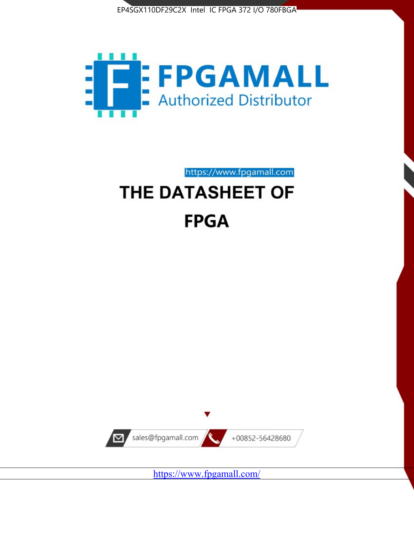



# https://www.fpgamall.com THE DATASHEET OF

# **FPGA**



<https://www.fpgamall.com/>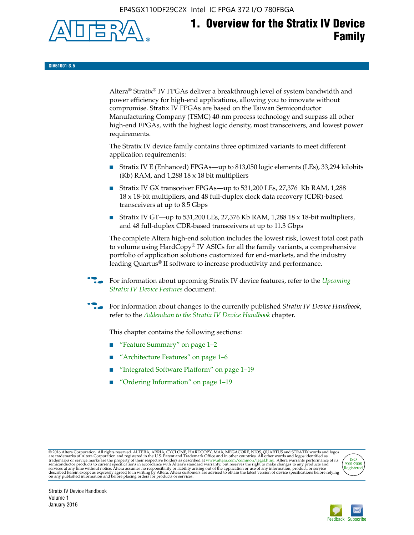EP4SGX110DF29C2X Intel IC FPGA 372 I/O 780FBGA



# **1. Overview for the Stratix IV Device Family**

**SIV51001-3.5**

Altera® Stratix® IV FPGAs deliver a breakthrough level of system bandwidth and power efficiency for high-end applications, allowing you to innovate without compromise. Stratix IV FPGAs are based on the Taiwan Semiconductor Manufacturing Company (TSMC) 40-nm process technology and surpass all other high-end FPGAs, with the highest logic density, most transceivers, and lowest power requirements.

The Stratix IV device family contains three optimized variants to meet different application requirements:

- Stratix IV E (Enhanced) FPGAs—up to 813,050 logic elements (LEs), 33,294 kilobits (Kb) RAM, and 1,288 18 x 18 bit multipliers
- Stratix IV GX transceiver FPGAs—up to 531,200 LEs, 27,376 Kb RAM, 1,288 18 x 18-bit multipliers, and 48 full-duplex clock data recovery (CDR)-based transceivers at up to 8.5 Gbps
- Stratix IV GT—up to 531,200 LEs, 27,376 Kb RAM, 1,288 18 x 18-bit multipliers, and 48 full-duplex CDR-based transceivers at up to 11.3 Gbps

The complete Altera high-end solution includes the lowest risk, lowest total cost path to volume using HardCopy® IV ASICs for all the family variants, a comprehensive portfolio of application solutions customized for end-markets, and the industry leading Quartus® II software to increase productivity and performance.

f For information about upcoming Stratix IV device features, refer to the *[Upcoming](http://www.altera.com/literature/hb/stratix-iv/uf01001.pdf?GSA_pos=2&WT.oss_r=1&WT.oss=upcoming)  [Stratix IV Device Features](http://www.altera.com/literature/hb/stratix-iv/uf01001.pdf?GSA_pos=2&WT.oss_r=1&WT.oss=upcoming)* document.

f For information about changes to the currently published *Stratix IV Device Handbook*, refer to the *[Addendum to the Stratix IV Device Handbook](http://www.altera.com/literature/hb/stratix-iv/stx4_siv54002.pdf)* chapter.

This chapter contains the following sections:

- "Feature Summary" on page 1–2
- "Architecture Features" on page 1–6
- "Integrated Software Platform" on page 1–19
- "Ordering Information" on page 1–19

@2016 Altera Corporation. All rights reserved. ALTERA, ARRIA, CYCLONE, HARDCOPY, MAX, MEGACORE, NIOS, QUARTUS and STRATIX words and logos are trademarks of Altera Corporation and registered in the U.S. Patent and Trademark



Stratix IV Device Handbook Volume 1 January 2016

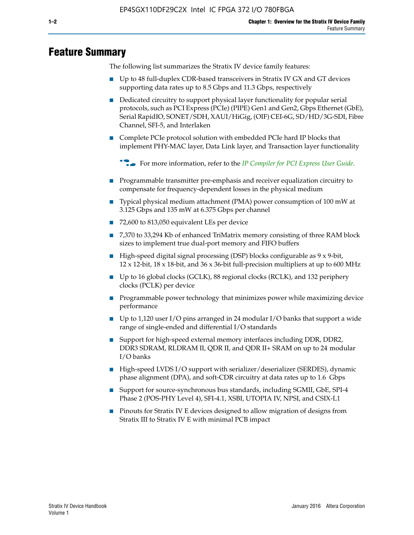# **Feature Summary**

The following list summarizes the Stratix IV device family features:

- Up to 48 full-duplex CDR-based transceivers in Stratix IV GX and GT devices supporting data rates up to 8.5 Gbps and 11.3 Gbps, respectively
- Dedicated circuitry to support physical layer functionality for popular serial protocols, such as PCI Express (PCIe) (PIPE) Gen1 and Gen2, Gbps Ethernet (GbE), Serial RapidIO, SONET/SDH, XAUI/HiGig, (OIF) CEI-6G, SD/HD/3G-SDI, Fibre Channel, SFI-5, and Interlaken
- Complete PCIe protocol solution with embedded PCIe hard IP blocks that implement PHY-MAC layer, Data Link layer, and Transaction layer functionality

**For more information, refer to the** *[IP Compiler for PCI Express User Guide](http://www.altera.com/literature/ug/ug_pci_express.pdf)***.** 

- Programmable transmitter pre-emphasis and receiver equalization circuitry to compensate for frequency-dependent losses in the physical medium
- Typical physical medium attachment (PMA) power consumption of 100 mW at 3.125 Gbps and 135 mW at 6.375 Gbps per channel
- 72,600 to 813,050 equivalent LEs per device
- 7,370 to 33,294 Kb of enhanced TriMatrix memory consisting of three RAM block sizes to implement true dual-port memory and FIFO buffers
- High-speed digital signal processing (DSP) blocks configurable as 9 x 9-bit,  $12 \times 12$ -bit,  $18 \times 18$ -bit, and  $36 \times 36$ -bit full-precision multipliers at up to 600 MHz
- Up to 16 global clocks (GCLK), 88 regional clocks (RCLK), and 132 periphery clocks (PCLK) per device
- Programmable power technology that minimizes power while maximizing device performance
- Up to 1,120 user I/O pins arranged in 24 modular I/O banks that support a wide range of single-ended and differential I/O standards
- Support for high-speed external memory interfaces including DDR, DDR2, DDR3 SDRAM, RLDRAM II, QDR II, and QDR II+ SRAM on up to 24 modular I/O banks
- High-speed LVDS I/O support with serializer/deserializer (SERDES), dynamic phase alignment (DPA), and soft-CDR circuitry at data rates up to 1.6 Gbps
- Support for source-synchronous bus standards, including SGMII, GbE, SPI-4 Phase 2 (POS-PHY Level 4), SFI-4.1, XSBI, UTOPIA IV, NPSI, and CSIX-L1
- Pinouts for Stratix IV E devices designed to allow migration of designs from Stratix III to Stratix IV E with minimal PCB impact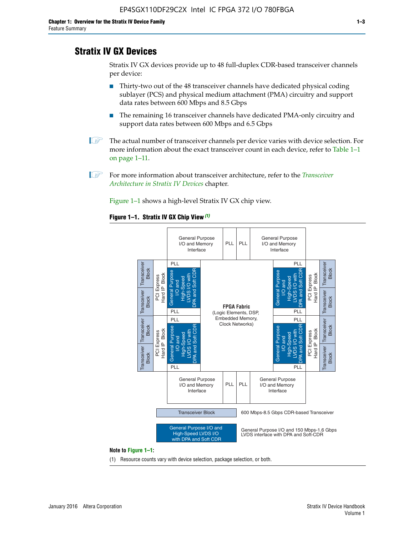# **Stratix IV GX Devices**

Stratix IV GX devices provide up to 48 full-duplex CDR-based transceiver channels per device:

- Thirty-two out of the 48 transceiver channels have dedicated physical coding sublayer (PCS) and physical medium attachment (PMA) circuitry and support data rates between 600 Mbps and 8.5 Gbps
- The remaining 16 transceiver channels have dedicated PMA-only circuitry and support data rates between 600 Mbps and 6.5 Gbps
- **1 The actual number of transceiver channels per device varies with device selection. For** more information about the exact transceiver count in each device, refer to Table 1–1 on page 1–11.
- 1 For more information about transceiver architecture, refer to the *[Transceiver](http://www.altera.com/literature/hb/stratix-iv/stx4_siv52001.pdf)  [Architecture in Stratix IV Devices](http://www.altera.com/literature/hb/stratix-iv/stx4_siv52001.pdf)* chapter.

Figure 1–1 shows a high-level Stratix IV GX chip view.

#### **Figure 1–1. Stratix IV GX Chip View** *(1)*



#### **Note to Figure 1–1:**

(1) Resource counts vary with device selection, package selection, or both.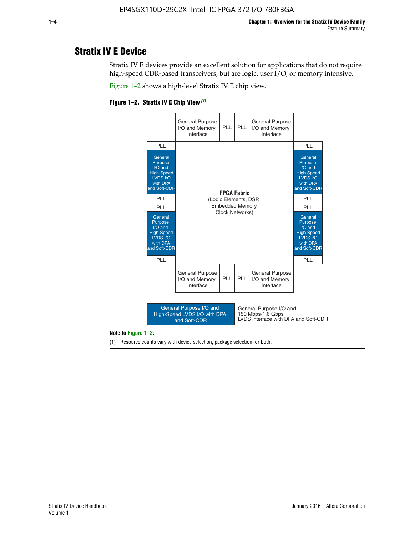# **Stratix IV E Device**

Stratix IV E devices provide an excellent solution for applications that do not require high-speed CDR-based transceivers, but are logic, user I/O, or memory intensive.

Figure 1–2 shows a high-level Stratix IV E chip view.

#### **Figure 1–2. Stratix IV E Chip View** *(1)*



#### **Note to Figure 1–2:**

(1) Resource counts vary with device selection, package selection, or both.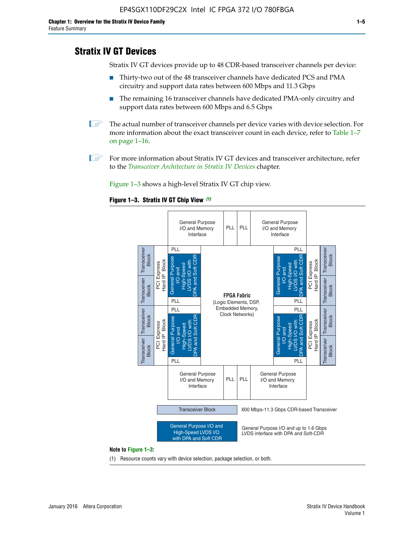# **Stratix IV GT Devices**

Stratix IV GT devices provide up to 48 CDR-based transceiver channels per device:

- Thirty-two out of the 48 transceiver channels have dedicated PCS and PMA circuitry and support data rates between 600 Mbps and 11.3 Gbps
- The remaining 16 transceiver channels have dedicated PMA-only circuitry and support data rates between 600 Mbps and 6.5 Gbps
- **1** The actual number of transceiver channels per device varies with device selection. For more information about the exact transceiver count in each device, refer to Table 1–7 on page 1–16.
- $\mathbb{I}$  For more information about Stratix IV GT devices and transceiver architecture, refer to the *[Transceiver Architecture in Stratix IV Devices](http://www.altera.com/literature/hb/stratix-iv/stx4_siv52001.pdf)* chapter.

Figure 1–3 shows a high-level Stratix IV GT chip view.

#### **Figure 1–3. Stratix IV GT Chip View** *(1)*



(1) Resource counts vary with device selection, package selection, or both.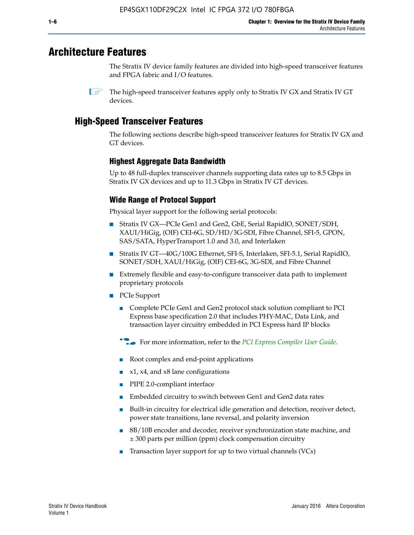# **Architecture Features**

The Stratix IV device family features are divided into high-speed transceiver features and FPGA fabric and I/O features.

 $\mathbb{I}$  The high-speed transceiver features apply only to Stratix IV GX and Stratix IV GT devices.

# **High-Speed Transceiver Features**

The following sections describe high-speed transceiver features for Stratix IV GX and GT devices.

## **Highest Aggregate Data Bandwidth**

Up to 48 full-duplex transceiver channels supporting data rates up to 8.5 Gbps in Stratix IV GX devices and up to 11.3 Gbps in Stratix IV GT devices.

## **Wide Range of Protocol Support**

Physical layer support for the following serial protocols:

- Stratix IV GX—PCIe Gen1 and Gen2, GbE, Serial RapidIO, SONET/SDH, XAUI/HiGig, (OIF) CEI-6G, SD/HD/3G-SDI, Fibre Channel, SFI-5, GPON, SAS/SATA, HyperTransport 1.0 and 3.0, and Interlaken
- Stratix IV GT—40G/100G Ethernet, SFI-S, Interlaken, SFI-5.1, Serial RapidIO, SONET/SDH, XAUI/HiGig, (OIF) CEI-6G, 3G-SDI, and Fibre Channel
- Extremely flexible and easy-to-configure transceiver data path to implement proprietary protocols
- PCIe Support
	- Complete PCIe Gen1 and Gen2 protocol stack solution compliant to PCI Express base specification 2.0 that includes PHY-MAC, Data Link, and transaction layer circuitry embedded in PCI Express hard IP blocks
	- **For more information, refer to the [PCI Express Compiler User Guide](http://www.altera.com/literature/ug/ug_pci_express.pdf).**
	- Root complex and end-point applications
	- $x1, x4,$  and  $x8$  lane configurations
	- PIPE 2.0-compliant interface
	- Embedded circuitry to switch between Gen1 and Gen2 data rates
	- Built-in circuitry for electrical idle generation and detection, receiver detect, power state transitions, lane reversal, and polarity inversion
	- 8B/10B encoder and decoder, receiver synchronization state machine, and ± 300 parts per million (ppm) clock compensation circuitry
	- Transaction layer support for up to two virtual channels (VCs)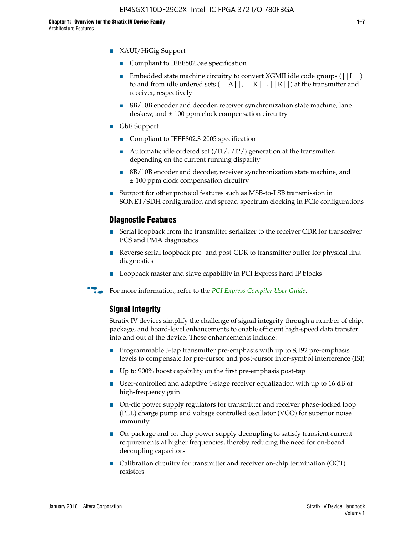- XAUI/HiGig Support
	- Compliant to IEEE802.3ae specification
	- **■** Embedded state machine circuitry to convert XGMII idle code groups  $(|11|)$ to and from idle ordered sets  $(|A|, |K|, |R|)$  at the transmitter and receiver, respectively
	- 8B/10B encoder and decoder, receiver synchronization state machine, lane deskew, and  $\pm 100$  ppm clock compensation circuitry
- GbE Support
	- Compliant to IEEE802.3-2005 specification
	- Automatic idle ordered set  $(111/112/1)$  generation at the transmitter, depending on the current running disparity
	- 8B/10B encoder and decoder, receiver synchronization state machine, and ± 100 ppm clock compensation circuitry
- Support for other protocol features such as MSB-to-LSB transmission in SONET/SDH configuration and spread-spectrum clocking in PCIe configurations

#### **Diagnostic Features**

- Serial loopback from the transmitter serializer to the receiver CDR for transceiver PCS and PMA diagnostics
- Reverse serial loopback pre- and post-CDR to transmitter buffer for physical link diagnostics
- Loopback master and slave capability in PCI Express hard IP blocks
- **For more information, refer to the** *[PCI Express Compiler User Guide](http://www.altera.com/literature/ug/ug_pci_express.pdf)***.**

## **Signal Integrity**

Stratix IV devices simplify the challenge of signal integrity through a number of chip, package, and board-level enhancements to enable efficient high-speed data transfer into and out of the device. These enhancements include:

- Programmable 3-tap transmitter pre-emphasis with up to 8,192 pre-emphasis levels to compensate for pre-cursor and post-cursor inter-symbol interference (ISI)
- Up to 900% boost capability on the first pre-emphasis post-tap
- User-controlled and adaptive 4-stage receiver equalization with up to 16 dB of high-frequency gain
- On-die power supply regulators for transmitter and receiver phase-locked loop (PLL) charge pump and voltage controlled oscillator (VCO) for superior noise immunity
- On-package and on-chip power supply decoupling to satisfy transient current requirements at higher frequencies, thereby reducing the need for on-board decoupling capacitors
- Calibration circuitry for transmitter and receiver on-chip termination (OCT) resistors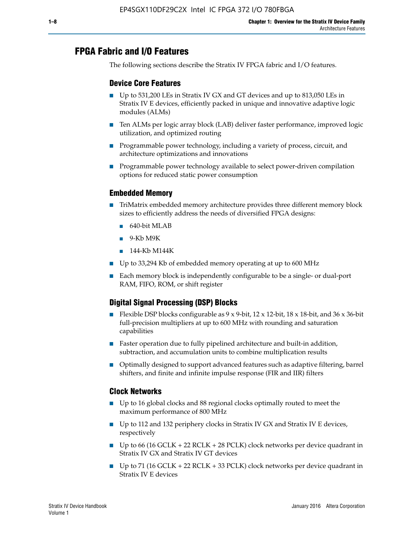# **FPGA Fabric and I/O Features**

The following sections describe the Stratix IV FPGA fabric and I/O features.

## **Device Core Features**

- Up to 531,200 LEs in Stratix IV GX and GT devices and up to 813,050 LEs in Stratix IV E devices, efficiently packed in unique and innovative adaptive logic modules (ALMs)
- Ten ALMs per logic array block (LAB) deliver faster performance, improved logic utilization, and optimized routing
- Programmable power technology, including a variety of process, circuit, and architecture optimizations and innovations
- Programmable power technology available to select power-driven compilation options for reduced static power consumption

## **Embedded Memory**

- TriMatrix embedded memory architecture provides three different memory block sizes to efficiently address the needs of diversified FPGA designs:
	- 640-bit MLAB
	- 9-Kb M9K
	- 144-Kb M144K
- Up to 33,294 Kb of embedded memory operating at up to 600 MHz
- Each memory block is independently configurable to be a single- or dual-port RAM, FIFO, ROM, or shift register

## **Digital Signal Processing (DSP) Blocks**

- Flexible DSP blocks configurable as  $9 \times 9$ -bit,  $12 \times 12$ -bit,  $18 \times 18$ -bit, and  $36 \times 36$ -bit full-precision multipliers at up to 600 MHz with rounding and saturation capabilities
- Faster operation due to fully pipelined architecture and built-in addition, subtraction, and accumulation units to combine multiplication results
- Optimally designed to support advanced features such as adaptive filtering, barrel shifters, and finite and infinite impulse response (FIR and IIR) filters

## **Clock Networks**

- Up to 16 global clocks and 88 regional clocks optimally routed to meet the maximum performance of 800 MHz
- Up to 112 and 132 periphery clocks in Stratix IV GX and Stratix IV E devices, respectively
- Up to 66 (16 GCLK + 22 RCLK + 28 PCLK) clock networks per device quadrant in Stratix IV GX and Stratix IV GT devices
- Up to 71 (16 GCLK + 22 RCLK + 33 PCLK) clock networks per device quadrant in Stratix IV E devices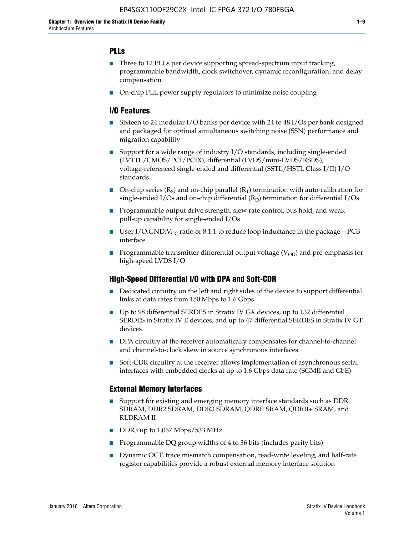## **PLLs**

- Three to 12 PLLs per device supporting spread-spectrum input tracking, programmable bandwidth, clock switchover, dynamic reconfiguration, and delay compensation
- On-chip PLL power supply regulators to minimize noise coupling

## **I/O Features**

- Sixteen to 24 modular I/O banks per device with 24 to 48 I/Os per bank designed and packaged for optimal simultaneous switching noise (SSN) performance and migration capability
- Support for a wide range of industry I/O standards, including single-ended (LVTTL/CMOS/PCI/PCIX), differential (LVDS/mini-LVDS/RSDS), voltage-referenced single-ended and differential (SSTL/HSTL Class I/II) I/O standards
- **O**n-chip series  $(R_S)$  and on-chip parallel  $(R_T)$  termination with auto-calibration for single-ended I/Os and on-chip differential  $(R_D)$  termination for differential I/Os
- Programmable output drive strength, slew rate control, bus hold, and weak pull-up capability for single-ended I/Os
- User I/O:GND: $V_{CC}$  ratio of 8:1:1 to reduce loop inductance in the package—PCB interface
- **■** Programmable transmitter differential output voltage ( $V_{OD}$ ) and pre-emphasis for high-speed LVDS I/O

### **High-Speed Differential I/O with DPA and Soft-CDR**

- Dedicated circuitry on the left and right sides of the device to support differential links at data rates from 150 Mbps to 1.6 Gbps
- Up to 98 differential SERDES in Stratix IV GX devices, up to 132 differential SERDES in Stratix IV E devices, and up to 47 differential SERDES in Stratix IV GT devices
- DPA circuitry at the receiver automatically compensates for channel-to-channel and channel-to-clock skew in source synchronous interfaces
- Soft-CDR circuitry at the receiver allows implementation of asynchronous serial interfaces with embedded clocks at up to 1.6 Gbps data rate (SGMII and GbE)

### **External Memory Interfaces**

- Support for existing and emerging memory interface standards such as DDR SDRAM, DDR2 SDRAM, DDR3 SDRAM, QDRII SRAM, QDRII+ SRAM, and RLDRAM II
- DDR3 up to 1,067 Mbps/533 MHz
- Programmable DQ group widths of 4 to 36 bits (includes parity bits)
- Dynamic OCT, trace mismatch compensation, read-write leveling, and half-rate register capabilities provide a robust external memory interface solution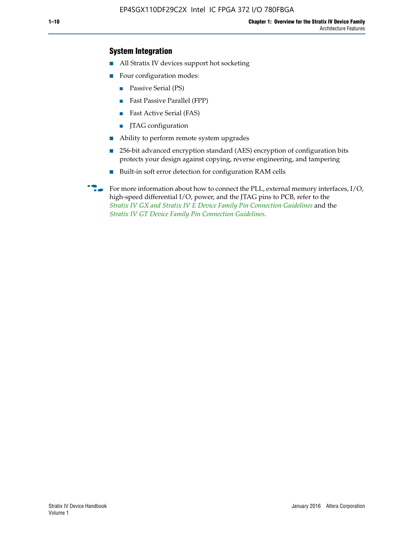## **System Integration**

- All Stratix IV devices support hot socketing
- Four configuration modes:
	- Passive Serial (PS)
	- Fast Passive Parallel (FPP)
	- Fast Active Serial (FAS)
	- JTAG configuration
- Ability to perform remote system upgrades
- 256-bit advanced encryption standard (AES) encryption of configuration bits protects your design against copying, reverse engineering, and tampering
- Built-in soft error detection for configuration RAM cells
- For more information about how to connect the PLL, external memory interfaces,  $I/O$ , high-speed differential I/O, power, and the JTAG pins to PCB, refer to the *[Stratix IV GX and Stratix IV E Device Family Pin Connection Guidelines](http://www.altera.com/literature/dp/stratix4/PCG-01005.pdf)* and the *[Stratix IV GT Device Family Pin Connection Guidelines](http://www.altera.com/literature/dp/stratix4/PCG-01006.pdf)*.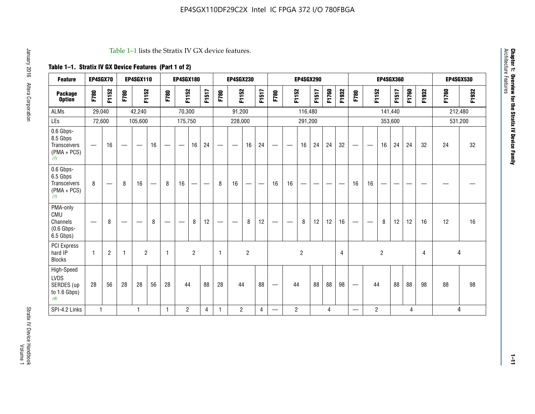#### Table 1–1 lists the Stratix IV GX device features.

## **Table 1–1. Stratix IV GX Device Features (Part 1 of 2)**

| <b>Feature</b>                                                 | EP4SGX70                 |                |                                | <b>EP4SGX110</b>  |    |                                | <b>EP4SGX180</b>               |                |       |              | <b>EP4SGX230</b>         |                |       |                                 |                | <b>EP4SGX290</b> |       |       |                |                                 |                   | <b>EP4SGX360</b> |         |       |       |         | <b>EP4SGX530</b> |
|----------------------------------------------------------------|--------------------------|----------------|--------------------------------|-------------------|----|--------------------------------|--------------------------------|----------------|-------|--------------|--------------------------|----------------|-------|---------------------------------|----------------|------------------|-------|-------|----------------|---------------------------------|-------------------|------------------|---------|-------|-------|---------|------------------|
| <b>Package</b><br><b>Option</b>                                | F780                     | F1152          | F780                           | F1152             |    | F780                           | F1152                          |                | F1517 | F780         | F1152                    |                | F1517 | F780                            | F1152          |                  | F1517 | F1760 | F1932          | F780                            | F1152             |                  | F1517   | F1760 | F1932 | F1760   | F1932            |
| <b>ALMs</b>                                                    | 29,040                   |                |                                | 42,240            |    |                                | 70,300                         |                |       |              | 91,200                   |                |       |                                 |                | 116,480          |       |       |                |                                 |                   |                  | 141,440 |       |       | 212,480 |                  |
| LEs                                                            | 72,600                   |                |                                | 105,600           |    |                                | 175,750                        |                |       |              | 228,000                  |                |       |                                 |                | 291,200          |       |       |                |                                 |                   |                  | 353,600 |       |       |         | 531,200          |
| 0.6 Gbps-<br>8.5 Gbps<br>Transceivers<br>$(PMA + PCs)$<br>(1)  | $\overline{\phantom{0}}$ | 16             | $\hspace{0.05cm}$              | $\hspace{0.05cm}$ | 16 | $\hspace{0.05cm}$              | $\hspace{0.05cm}$              | 16             | 24    |              | $\overline{\phantom{a}}$ | 16             | 24    | —                               |                | 16               | 24    | 24    | 32             | $\overline{\phantom{0}}$        | $\hspace{0.05cm}$ | 16               | 24      | 24    | 32    | 24      | 32               |
| 0.6 Gbps-<br>6.5 Gbps<br>Transceivers<br>$(PMA + PCs)$<br>(1)  | 8                        |                | 8                              | 16                |    | 8                              | 16                             | -              |       | 8            | 16                       | —              |       | 16                              | 16             |                  |       |       |                | 16                              | 16                |                  |         |       |       |         |                  |
| PMA-only<br>CMU<br>Channels<br>$(0.6$ Gbps-<br>6.5 Gbps)       | $\overline{\phantom{0}}$ | 8              | $\qquad \qquad \longleftarrow$ |                   | 8  | $\qquad \qquad \longleftarrow$ | $\qquad \qquad \longleftarrow$ | 8              | 12    |              |                          | 8              | 12    | $\hspace{0.1mm}-\hspace{0.1mm}$ |                | 8                | 12    | 12    | 16             | $\overline{\phantom{0}}$        | $\hspace{0.05cm}$ | 8                | 12      | 12    | 16    | 12      | 16               |
| <b>PCI Express</b><br>hard IP<br><b>Blocks</b>                 | $\mathbf{1}$             | $\overline{2}$ | $\mathbf 1$                    | $\overline{2}$    |    | $\mathbf{1}$                   |                                | $\overline{2}$ |       | $\mathbf{1}$ |                          | $\overline{c}$ |       |                                 |                | $\overline{c}$   |       |       | $\overline{4}$ |                                 |                   | $\overline{2}$   |         |       | 4     |         | 4                |
| High-Speed<br><b>LVDS</b><br>SERDES (up<br>to 1.6 Gbps)<br>(4) | 28                       | 56             | 28                             | 28                | 56 | 28                             | 44                             |                | 88    | 28           | 44                       |                | 88    | —                               | 44             |                  | 88    | 88    | 98             | $\hspace{0.1mm}-\hspace{0.1mm}$ | 44                |                  | 88      | 88    | 98    | 88      | 98               |
| SPI-4.2 Links                                                  | $\mathbf{1}$             |                |                                | 1                 |    | $\mathbf{1}$                   | $\overline{c}$                 |                | 4     | 1            | $\overline{c}$           |                | 4     | —                               | $\overline{2}$ |                  |       | 4     |                | $\overline{\phantom{0}}$        | $\overline{2}$    |                  |         | 4     |       |         | 4                |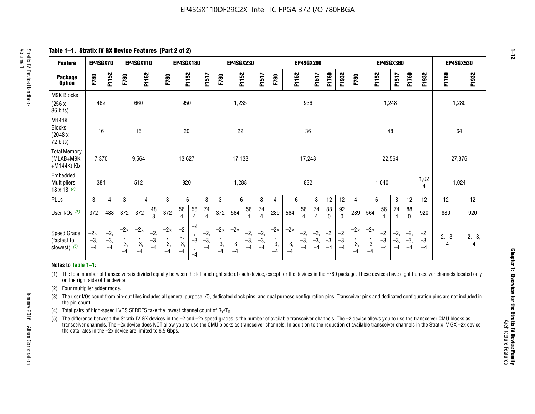**Table 1–1. Stratix IV GX Device Features (Part 2 of 2)**

| <b>Feature</b>                                       | EP4SGX70                |                        |                             | <b>EP4SGX110</b>            |                      |                             | <b>EP4SGX180</b>          |                                              |                        |                             | <b>EP4SGX230</b>            |                        |                      |                             |                             | EP4SGX290              |                      |                        |                        |                             |                             |                        | <b>EP4SGX360</b>     |                        |                        | <b>EP4SGX530</b>  |                   |
|------------------------------------------------------|-------------------------|------------------------|-----------------------------|-----------------------------|----------------------|-----------------------------|---------------------------|----------------------------------------------|------------------------|-----------------------------|-----------------------------|------------------------|----------------------|-----------------------------|-----------------------------|------------------------|----------------------|------------------------|------------------------|-----------------------------|-----------------------------|------------------------|----------------------|------------------------|------------------------|-------------------|-------------------|
| <b>Package</b><br><b>Option</b>                      | F780                    | F1152                  | F780                        | F1152                       |                      | F780                        | F1152                     |                                              | F1517                  | F780                        | F1152                       |                        | F1517                | F780                        | F1152                       |                        | F1517                | F1760                  | F1932                  | F780                        | F1152                       |                        | F1517                | F1760                  | F1932                  | F1760             | F1932             |
| M9K Blocks<br>(256x)<br>36 bits)                     | 462                     |                        |                             | 660                         |                      |                             | 950                       |                                              |                        |                             | 1,235                       |                        |                      |                             |                             | 936                    |                      |                        |                        |                             |                             | 1,248                  |                      |                        |                        | 1,280             |                   |
| M144K<br>Blocks<br>(2048 x<br>72 bits)               | 16                      |                        |                             | 16                          |                      |                             | 20                        |                                              |                        |                             | 22                          |                        |                      |                             |                             | 36                     |                      |                        |                        |                             |                             | 48                     |                      |                        |                        | 64                |                   |
| <b>Total Memory</b><br>(MLAB+M9K<br>+M144K) Kb       | 7,370                   |                        |                             | 9,564                       |                      |                             | 13,627                    |                                              |                        |                             | 17,133                      |                        |                      |                             | 17,248                      |                        |                      |                        | 22,564                 |                             |                             |                        |                      | 27,376                 |                        |                   |                   |
| Embedded<br><b>Multipliers</b><br>$18 \times 18$ (2) | 384                     |                        |                             | 512                         |                      |                             | 920                       |                                              |                        |                             | 1,288                       |                        |                      |                             |                             | 832                    |                      |                        |                        |                             |                             | 1,040                  |                      |                        | 1,02<br>4              | 1,024             |                   |
| PLLs                                                 | 3                       | 4                      | 3                           | 4                           |                      | 3                           | 6                         |                                              | 8                      | 3                           | 6                           |                        | 8                    | 4                           | 6                           |                        | 8                    | 12                     | 12                     | 4                           | 6                           |                        | 8                    | 12                     | 12                     | 12                | 12                |
| User I/Os $(3)$                                      | 372                     | 488                    | 372                         | 372                         | 48<br>8              | 372                         | 56<br>4                   | 56<br>4                                      | 74<br>$\overline{4}$   | 372                         | 564                         | 56<br>4                | 74<br>$\overline{4}$ | 289                         | 564                         | 56<br>4                | 74<br>4              | 88<br>0                | 92<br>$\mathbf 0$      | 289                         | 564                         | 56<br>4                | 74<br>4              | 88<br>0                | 920                    | 880               | 920               |
| Speed Grade<br>(fastest to<br>slowest) (5)           | $-2x,$<br>$-3,$<br>$-4$ | $-2,$<br>$-3,$<br>$-4$ | $-2\times$<br>$-3,$<br>$-4$ | $-2\times$<br>$-3,$<br>$-4$ | $-2,$<br>-3,<br>$-4$ | $-2\times$<br>$-3,$<br>$-4$ | $-2$<br>×,<br>$-3,$<br>-4 | $-2$<br>$\,$<br>$-3$<br>$\mathbf{r}$<br>$-4$ | $-2,$<br>$-3,$<br>$-4$ | $-2\times$<br>$-3,$<br>$-4$ | $-2\times$<br>$-3,$<br>$-4$ | $-2,$<br>$-3,$<br>$-4$ | $-2,$<br>-3,<br>$-4$ | $-2\times$<br>$-3,$<br>$-4$ | $-2\times$<br>$-3,$<br>$-4$ | $-2,$<br>$-3,$<br>$-4$ | $-2,$<br>-3,<br>$-4$ | $-2,$<br>$-3,$<br>$-4$ | $-2,$<br>$-3,$<br>$-4$ | $-2\times$<br>$-3,$<br>$-4$ | $-2\times$<br>$-3,$<br>$-4$ | $-2,$<br>$-3,$<br>$-4$ | $-2,$<br>-3,<br>$-4$ | $-2,$<br>$-3,$<br>$-4$ | $-2,$<br>$-3,$<br>$-4$ | $-2, -3,$<br>$-4$ | $-2, -3,$<br>$-4$ |

#### **Notes to Table 1–1:**

(1) The total number of transceivers is divided equally between the left and right side of each device, except for the devices in the F780 package. These devices have eight transceiver channels located only on the right side of the device.

(2) Four multiplier adder mode.

(3) The user I/Os count from pin-out files includes all general purpose I/O, dedicated clock pins, and dual purpose configuration pins. Transceiver pins and dedicated configuration pins are not included in the pin count.

- (4) Total pairs of high-speed LVDS SERDES take the lowest channel count of  $R_X/T_X$ .
- (5) The difference between the Stratix IV GX devices in the –2 and –2x speed grades is the number of available transceiver channels. The –2 device allows you to use the transceiver CMU blocks as transceiver channels. The –2x device does NOT allow you to use the CMU blocks as transceiver channels. In addition to the reduction of available transceiver channels in the Stratix IV GX –2x device, the data rates in the –2x device are limited to 6.5 Gbps.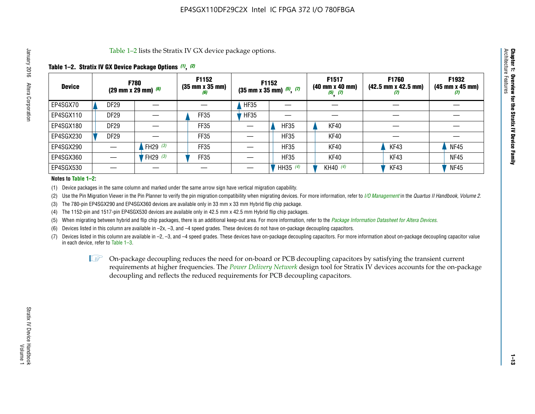Table 1–2 lists the Stratix IV GX device package options.

### **Table 1–2. Stratix IV GX Device Package Options** *(1)***,** *(2)*

| <b>Device</b> |                  | <b>F780</b><br>(29 mm x 29 mm) $(6)$ | F1152<br>$(35 \, \text{mm} \times 35 \, \text{mm})$<br>(6) | <b>F1152</b><br>$(35$ mm x 35 mm) $(5)$ , $(7)$ |             | F1517<br>(40 mm x 40 mm)<br>$(5)$ $(7)$ | F1760<br>$(42.5 \text{ mm} \times 42.5 \text{ mm})$<br>Ш | F1932<br>$(45 \, \text{mm} \times 45 \, \text{mm})$<br>(7) |
|---------------|------------------|--------------------------------------|------------------------------------------------------------|-------------------------------------------------|-------------|-----------------------------------------|----------------------------------------------------------|------------------------------------------------------------|
| EP4SGX70      | <b>DF29</b>      |                                      |                                                            | <b>HF35</b>                                     |             |                                         |                                                          |                                                            |
| EP4SGX110     | <b>DF29</b>      |                                      | FF35                                                       | <b>HF35</b>                                     |             |                                         |                                                          |                                                            |
| EP4SGX180     | DF <sub>29</sub> |                                      | FF35                                                       |                                                 | <b>HF35</b> | KF40                                    |                                                          |                                                            |
| EP4SGX230     | <b>DF29</b>      |                                      | FF35                                                       |                                                 | <b>HF35</b> | KF40                                    |                                                          |                                                            |
| EP4SGX290     |                  | FH29 $(3)$                           | <b>FF35</b>                                                |                                                 | <b>HF35</b> | KF40                                    | KF43                                                     | <b>NF45</b>                                                |
| EP4SGX360     |                  | FH29 $(3)$                           | FF35                                                       |                                                 | <b>HF35</b> | KF40                                    | KF43                                                     | <b>NF45</b>                                                |
| EP4SGX530     |                  |                                      |                                                            |                                                 | HH35 $(4)$  | KH40 (4)                                | KF43                                                     | <b>NF45</b>                                                |

#### **Notes to Table 1–2:**

(1) Device packages in the same column and marked under the same arrow sign have vertical migration capability.

(2) Use the Pin Migration Viewer in the Pin Planner to verify the pin migration compatibility when migrating devices. For more information, refer to *[I/O Management](http://www.altera.com/literature/hb/qts/qts_qii52013.pdf)* in the *Quartus II Handbook, Volume 2*.

(3) The 780-pin EP4SGX290 and EP4SGX360 devices are available only in 33 mm x 33 mm Hybrid flip chip package.

(4) The 1152-pin and 1517-pin EP4SGX530 devices are available only in 42.5 mm x 42.5 mm Hybrid flip chip packages.

(5) When migrating between hybrid and flip chip packages, there is an additional keep-out area. For more information, refer to the *[Package Information Datasheet for Altera Devices](http://www.altera.com/literature/ds/dspkg.pdf)*.

(6) Devices listed in this column are available in –2x, –3, and –4 speed grades. These devices do not have on-package decoupling capacitors.

(7) Devices listed in this column are available in –2, –3, and –4 speed grades. These devices have on-package decoupling capacitors. For more information about on-package decoupling capacitor value in each device, refer to Table 1–3.

 $\mathbb{L}$ s On-package decoupling reduces the need for on-board or PCB decoupling capacitors by satisfying the transient current requirements at higher frequencies. The *[Power Delivery Network](http://www.altera.com/literature/ug/pdn_tool_stxiv.zip)* design tool for Stratix IV devices accounts for the on-package decoupling and reflects the reduced requirements for PCB decoupling capacitors.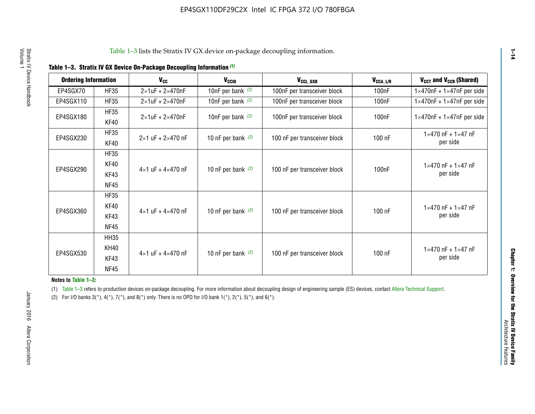| <b>Ordering Information</b> |                     | <b>V<sub>cc</sub></b>               | V <sub>ccio</sub>    | V <sub>CCL GXB</sub>         | V <sub>CCA_L/R</sub> | V <sub>CCT</sub> and V <sub>CCR</sub> (Shared)   |
|-----------------------------|---------------------|-------------------------------------|----------------------|------------------------------|----------------------|--------------------------------------------------|
| EP4SGX70                    | <b>HF35</b>         | $2\times1$ uF + $2\times470$ nF     | 10nF per bank $(2)$  | 100nF per transceiver block  | 100 <sub>n</sub> F   | $1 \times 470$ nF + $1 \times 47$ nF per side    |
| EP4SGX110                   | <b>HF35</b>         | $2\times1$ uF + $2\times470$ nF     | 10nF per bank $(2)$  | 100nF per transceiver block  | 100 <sub>n</sub> F   | $1\times470$ nF + $1\times47$ nF per side        |
| EP4SGX180                   | <b>HF35</b><br>KF40 | $2\times1$ uF + $2\times470$ nF     | 10nF per bank $(2)$  | 100nF per transceiver block  | 100 <sub>n</sub> F   | $1 \times 470$ nF + $1 \times 47$ nF per side    |
| EP4SGX230                   | <b>HF35</b><br>KF40 | $2 \times 1$ uF + $2 \times 470$ nF | 10 nF per bank $(2)$ | 100 nF per transceiver block | 100 nF               | $1 \times 470$ nF + $1 \times 47$ nF<br>per side |
|                             | <b>HF35</b><br>KF40 |                                     |                      |                              |                      | $1 \times 470$ nF + $1 \times 47$ nF             |
| EP4SGX290                   | KF43<br><b>NF45</b> | $4 \times 1$ uF + $4 \times 470$ nF | 10 nF per bank $(2)$ | 100 nF per transceiver block | 100nF                | per side                                         |
|                             | <b>HF35</b><br>KF40 |                                     |                      |                              |                      | $1 \times 470$ nF + $1 \times 47$ nF             |
| EP4SGX360                   | KF43<br><b>NF45</b> | $4 \times 1$ uF + $4 \times 470$ nF | 10 nF per bank $(2)$ | 100 nF per transceiver block | 100 nF               | per side                                         |
|                             | <b>HH35</b>         |                                     |                      |                              |                      |                                                  |
| EP4SGX530                   | <b>KH40</b><br>KF43 | $4 \times 1$ uF + $4 \times 470$ nF | 10 nF per bank $(2)$ | 100 nF per transceiver block | 100 nF               | $1 \times 470$ nF + $1 \times 47$ nF<br>per side |
|                             | <b>NF45</b>         |                                     |                      |                              |                      |                                                  |

**Notes to Table 1–3:**

(1) Table 1-3 refers to production devices on-package decoupling. For more information about decoupling design of engineering sample (ES) devices, contact [Altera Technical Support](http://mysupport.altera.com/eservice/login.asp).

(2) For I/O banks  $3(*)$ ,  $4(*)$ ,  $7(*)$ , and  $8(*)$  only. There is no OPD for I/O bank  $1(*)$ ,  $2(*)$ ,  $5(*)$ , and  $6(*)$ .

**1–14**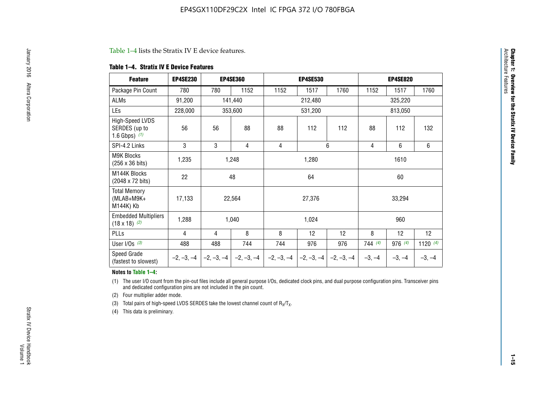#### Table 1–4 lists the Stratix IV E device features.

#### **Table 1–4. Stratix IV E Device Features**

| <b>Feature</b>                                      | <b>EP4SE230</b> |     | <b>EP4SE360</b>                        |              | <b>EP4SE530</b> |              |          | <b>EP4SE820</b> |            |
|-----------------------------------------------------|-----------------|-----|----------------------------------------|--------------|-----------------|--------------|----------|-----------------|------------|
| Package Pin Count                                   | 780             | 780 | 1152                                   | 1152         | 1517            | 1760         | 1152     | 1517            | 1760       |
| ALMs                                                | 91,200          |     | 141,440                                |              | 212,480         |              |          | 325,220         |            |
| LEs                                                 | 228,000         |     | 353,600                                |              | 531,200         |              |          | 813,050         |            |
| High-Speed LVDS<br>SERDES (up to<br>1.6 Gbps) $(1)$ | 56              | 56  | 88                                     | 88           | 112             | 112          | 88       | 112             | 132        |
| SPI-4.2 Links                                       | 3               | 3   | 4                                      | 4            |                 | 6            | 4        | 6               | 6          |
| <b>M9K Blocks</b><br>(256 x 36 bits)                | 1,235           |     | 1,248                                  |              | 1,280           |              |          | 1610            |            |
| M144K Blocks<br>(2048 x 72 bits)                    | 22              |     | 48                                     |              | 64              |              |          | 60              |            |
| <b>Total Memory</b><br>$(MLAB+M9K+$<br>M144K) Kb    | 17,133          |     | 22,564                                 |              | 27,376          |              |          | 33,294          |            |
| <b>Embedded Multipliers</b><br>$(18 \times 18)$ (2) | 1,288           |     | 1,040                                  |              | 1,024           |              |          | 960             |            |
| PLLs                                                | 4               | 4   | 8                                      | 8            | 12              | 12           | 8        | 12              | 12         |
| User I/Os $(3)$                                     | 488             | 488 | 744                                    | 744          | 976             | 976          | 744(4)   | 976 (4)         | 1120 $(4)$ |
| Speed Grade<br>(fastest to slowest)                 |                 |     | $-2, -3, -4$ $-2, -3, -4$ $-2, -3, -4$ | $-2, -3, -4$ | $-2, -3, -4$    | $-2, -3, -4$ | $-3, -4$ | $-3, -4$        | $-3, -4$   |

#### **Notes to Table 1–4:**

(1) The user I/O count from the pin-out files include all general purpose I/Os, dedicated clock pins, and dual purpose configuration pins. Transceiver pins and dedicated configuration pins are not included in the pin count.

(2) Four multiplier adder mode.

(3) Total pairs of high-speed LVDS SERDES take the lowest channel count of  $R_X/T_X$ .

(4) This data is preliminary.

**Chapter 1: Overview for the Stratix IV Device Family**

**Chapter 1: Overview for the Stratix IV Device Family**<br>Architecture Faatures

Architecture Features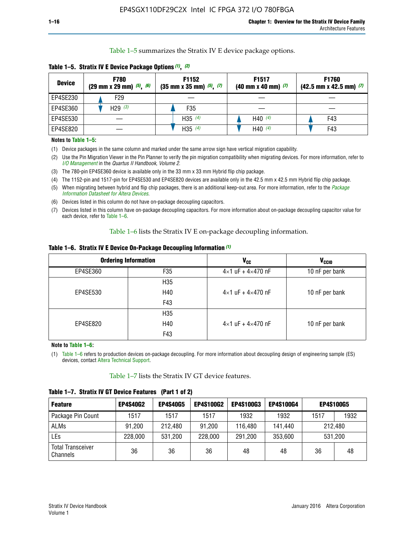Table 1–5 summarizes the Stratix IV E device package options.

| <b>Device</b> | <b>F780</b><br>$(29 \text{ mm} \times 29 \text{ mm})$ $(5)$ , $(6)$ | F1152<br>$(35 \text{ mm} \times 35 \text{ mm})$ $(5)$ $(7)$ | F <sub>1517</sub><br>$(40 \text{ mm} \times 40 \text{ mm})$ (7) | <b>F1760</b><br>$(42.5$ mm x 42.5 mm) $(7)$ |
|---------------|---------------------------------------------------------------------|-------------------------------------------------------------|-----------------------------------------------------------------|---------------------------------------------|
| EP4SE230      | F <sub>29</sub>                                                     |                                                             |                                                                 |                                             |
| EP4SE360      | H29 $(3)$                                                           | F35                                                         |                                                                 |                                             |
| EP4SE530      |                                                                     | H35 $(4)$                                                   | H40 $(4)$                                                       | F43                                         |
| EP4SE820      |                                                                     | H35 $(4)$                                                   | H40 $(4)$                                                       | F43                                         |

**Table 1–5. Stratix IV E Device Package Options** *(1)***,** *(2)*

#### **Notes to Table 1–5:**

(1) Device packages in the same column and marked under the same arrow sign have vertical migration capability.

(2) Use the Pin Migration Viewer in the Pin Planner to verify the pin migration compatibility when migrating devices. For more information, refer to *[I/O Management](http://www.altera.com/literature/hb/qts/qts_qii52013.pdf)* in the *Quartus II Handbook, Volume 2*.

(3) The 780-pin EP4SE360 device is available only in the 33 mm x 33 mm Hybrid flip chip package.

(4) The 1152-pin and 1517-pin for EP4SE530 and EP4SE820 devices are available only in the 42.5 mm x 42.5 mm Hybrid flip chip package.

(5) When migrating between hybrid and flip chip packages, there is an additional keep-out area. For more information, refer to the *[Package](http://www.altera.com/literature/ds/dspkg.pdf)  [Information Datasheet for Altera Devices](http://www.altera.com/literature/ds/dspkg.pdf)*.

(6) Devices listed in this column do not have on-package decoupling capacitors.

(7) Devices listed in this column have on-package decoupling capacitors. For more information about on-package decoupling capacitor value for each device, refer to Table 1–6.

Table 1–6 lists the Stratix IV E on-package decoupling information.

| Table 1–6. Stratix IV E Device On-Package Decoupling Information (1) |  |  |  |  |
|----------------------------------------------------------------------|--|--|--|--|
|----------------------------------------------------------------------|--|--|--|--|

|          | <b>Ordering Information</b> | <b>V<sub>cc</sub></b>               | <b>V<sub>CCIO</sub></b> |
|----------|-----------------------------|-------------------------------------|-------------------------|
| EP4SE360 | F35                         | $4 \times 1$ uF + $4 \times 470$ nF | 10 nF per bank          |
|          | H <sub>35</sub>             |                                     |                         |
| EP4SE530 | H40                         | $4 \times 1$ uF + $4 \times 470$ nF | 10 nF per bank          |
|          | F43                         |                                     |                         |
|          | H <sub>35</sub>             |                                     |                         |
| EP4SE820 | H40                         | $4 \times 1$ uF + $4 \times 470$ nF | 10 nF per bank          |
|          | F43                         |                                     |                         |

**Note to Table 1–6:**

(1) Table 1–6 refers to production devices on-package decoupling. For more information about decoupling design of engineering sample (ES) devices, contact [Altera Technical Support](http://mysupport.altera.com/eservice/login.asp).

Table 1–7 lists the Stratix IV GT device features.

| <b>Feature</b>                       | <b>EP4S40G2</b> | <b>EP4S40G5</b> | <b>EP4S100G2</b> | <b>EP4S100G3</b> | <b>EP4S100G4</b> |      | <b>EP4S100G5</b> |
|--------------------------------------|-----------------|-----------------|------------------|------------------|------------------|------|------------------|
| Package Pin Count                    | 1517            | 1517            | 1517             | 1932             | 1932             | 1517 | 1932             |
| <b>ALMs</b>                          | 91,200          | 212,480         | 91,200           | 116,480          | 141,440          |      | 212.480          |
| LEs                                  | 228,000         | 531,200         | 228,000          | 291,200          | 353,600          |      | 531,200          |
| <b>Total Transceiver</b><br>Channels | 36              | 36              | 36               | 48               | 48               | 36   | 48               |

**Table 1–7. Stratix IV GT Device Features (Part 1 of 2)**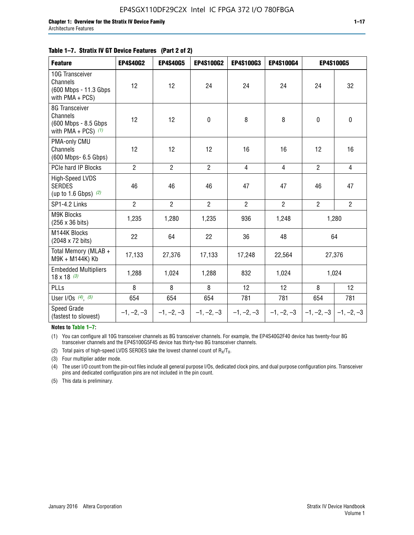| <b>Feature</b>                                                              | <b>EP4S40G2</b> | <b>EP4S40G5</b> | EP4S100G2      | <b>EP4S100G3</b> | EP4S100G4      |                           | <b>EP4S100G5</b> |
|-----------------------------------------------------------------------------|-----------------|-----------------|----------------|------------------|----------------|---------------------------|------------------|
| 10G Transceiver<br>Channels<br>(600 Mbps - 11.3 Gbps)<br>with PMA + PCS)    | 12              | 12              | 24             | 24               | 24             | 24                        | 32               |
| 8G Transceiver<br>Channels<br>(600 Mbps - 8.5 Gbps<br>with PMA + PCS) $(1)$ | 12              | 12              | $\mathbf 0$    | 8                | 8              | $\mathbf 0$               | $\mathbf 0$      |
| PMA-only CMU<br>Channels<br>(600 Mbps- 6.5 Gbps)                            | 12              | 12              | 12             | 16               | 16             | 12                        | 16               |
| PCIe hard IP Blocks                                                         | $\overline{2}$  | $\overline{2}$  | $\overline{2}$ | $\overline{4}$   | $\overline{4}$ | $\overline{2}$            | $\overline{4}$   |
| High-Speed LVDS<br><b>SERDES</b><br>(up to 1.6 Gbps) $(2)$                  | 46              | 46              | 46             | 47               | 47             | 46                        | 47               |
| SP1-4.2 Links                                                               | $\overline{2}$  | $\overline{2}$  | $\overline{2}$ | $\overline{2}$   | $\overline{2}$ | $\overline{2}$            | $2^{\circ}$      |
| <b>M9K Blocks</b><br>(256 x 36 bits)                                        | 1,235           | 1,280           | 1,235          | 936              | 1,248          |                           | 1,280            |
| M144K Blocks<br>(2048 x 72 bits)                                            | 22              | 64              | 22             | 36               | 48             |                           | 64               |
| Total Memory (MLAB +<br>M9K + M144K) Kb                                     | 17,133          | 27,376          | 17,133         | 17,248           | 22,564         |                           | 27,376           |
| <b>Embedded Multipliers</b><br>$18 \times 18^{(3)}$                         | 1,288           | 1,024           | 1,288          | 832              | 1,024          | 1,024                     |                  |
| PLLs                                                                        | 8               | 8               | 8              | 12               | 12             | 8                         | 12               |
| User I/Os $(4)$ , $(5)$                                                     | 654             | 654             | 654            | 781              | 781            | 654                       | 781              |
| Speed Grade<br>(fastest to slowest)                                         | $-1, -2, -3$    | $-1, -2, -3$    | $-1, -2, -3$   | $-1, -2, -3$     | $-1, -2, -3$   | $-1, -2, -3$ $-1, -2, -3$ |                  |

**Notes to Table 1–7:**

(1) You can configure all 10G transceiver channels as 8G transceiver channels. For example, the EP4S40G2F40 device has twenty-four 8G transceiver channels and the EP4S100G5F45 device has thirty-two 8G transceiver channels.

(2) Total pairs of high-speed LVDS SERDES take the lowest channel count of  $R_X/T_X$ .

(3) Four multiplier adder mode.

(4) The user I/O count from the pin-out files include all general purpose I/Os, dedicated clock pins, and dual purpose configuration pins. Transceiver pins and dedicated configuration pins are not included in the pin count.

(5) This data is preliminary.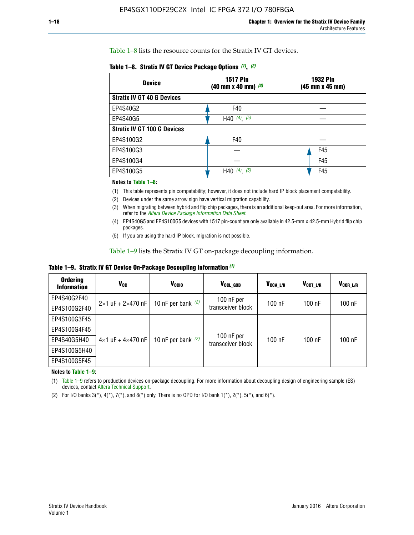Table 1–8 lists the resource counts for the Stratix IV GT devices.

|  | Table 1-8. Stratix IV GT Device Package Options (1), (2) |  |  |  |  |  |
|--|----------------------------------------------------------|--|--|--|--|--|
|--|----------------------------------------------------------|--|--|--|--|--|

| <b>Device</b>                      | <b>1517 Pin</b><br><b>1932 Pin</b><br>$(40 \text{ mm} \times 40 \text{ mm})$ (3)<br>(45 mm x 45 mm) |     |  |
|------------------------------------|-----------------------------------------------------------------------------------------------------|-----|--|
| <b>Stratix IV GT 40 G Devices</b>  |                                                                                                     |     |  |
| EP4S40G2                           | F40                                                                                                 |     |  |
| EP4S40G5                           | H40 $(4)$ , $(5)$                                                                                   |     |  |
| <b>Stratix IV GT 100 G Devices</b> |                                                                                                     |     |  |
| EP4S100G2                          | F40                                                                                                 |     |  |
| EP4S100G3                          |                                                                                                     | F45 |  |
| EP4S100G4                          |                                                                                                     | F45 |  |
| EP4S100G5                          | $(4)$ $(5)$<br>H40                                                                                  | F45 |  |

#### **Notes to Table 1–8:**

(1) This table represents pin compatability; however, it does not include hard IP block placement compatability.

- (2) Devices under the same arrow sign have vertical migration capability.
- (3) When migrating between hybrid and flip chip packages, there is an additional keep-out area. For more information, refer to the *[Altera Device Package Information Data Sheet](http://www.altera.com/literature/ds/dspkg.pdf)*.
- (4) EP4S40G5 and EP4S100G5 devices with 1517 pin-count are only available in 42.5-mm x 42.5-mm Hybrid flip chip packages.
- (5) If you are using the hard IP block, migration is not possible.

Table 1–9 lists the Stratix IV GT on-package decoupling information.

**Table 1–9. Stratix IV GT Device On-Package Decoupling Information** *(1)*

| <b>Ordering</b><br><b>Information</b> | Vcc                                 | <b>V<sub>CCIO</sub></b> | V <sub>CCL GXB</sub>            | V <sub>CCA L/R</sub> | V <sub>CCT L/R</sub> | $V_{CCR\_L/R}$ |
|---------------------------------------|-------------------------------------|-------------------------|---------------------------------|----------------------|----------------------|----------------|
| EP4S40G2F40                           | $2 \times 1$ uF + $2 \times 470$ nF | 10 nF per bank $(2)$    | 100 nF per<br>transceiver block | $100$ nF             | $100$ nF             | 100 nF         |
| EP4S100G2F40                          |                                     |                         |                                 |                      |                      |                |
| EP4S100G3F45                          | $4\times1$ uF + $4\times470$ nF     | 10 nF per bank $(2)$    | 100 nF per<br>transceiver block | $100$ nF             | $100$ nF             | $100$ nF       |
| EP4S100G4F45                          |                                     |                         |                                 |                      |                      |                |
| EP4S40G5H40                           |                                     |                         |                                 |                      |                      |                |
| EP4S100G5H40                          |                                     |                         |                                 |                      |                      |                |
| EP4S100G5F45                          |                                     |                         |                                 |                      |                      |                |

**Notes to Table 1–9:**

(1) Table 1–9 refers to production devices on-package decoupling. For more information about decoupling design of engineering sample (ES) devices, contact [Altera Technical Support](http://mysupport.altera.com/eservice/login.asp).

(2) For I/O banks  $3(*)$ ,  $4(*)$ ,  $7(*)$ , and  $8(*)$  only. There is no OPD for I/O bank  $1(*)$ ,  $2(*)$ ,  $5(*)$ , and  $6(*)$ .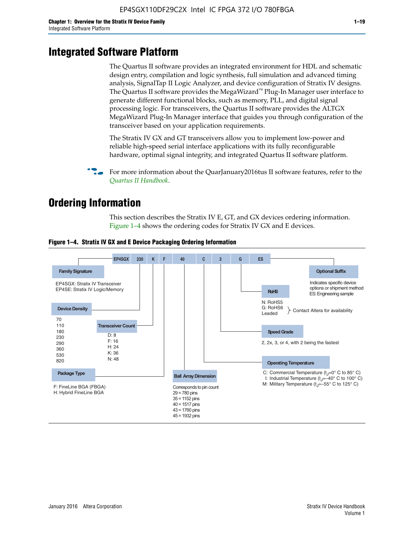# **Integrated Software Platform**

The Quartus II software provides an integrated environment for HDL and schematic design entry, compilation and logic synthesis, full simulation and advanced timing analysis, SignalTap II Logic Analyzer, and device configuration of Stratix IV designs. The Quartus II software provides the MegaWizard<sup> $M$ </sup> Plug-In Manager user interface to generate different functional blocks, such as memory, PLL, and digital signal processing logic. For transceivers, the Quartus II software provides the ALTGX MegaWizard Plug-In Manager interface that guides you through configuration of the transceiver based on your application requirements.

The Stratix IV GX and GT transceivers allow you to implement low-power and reliable high-speed serial interface applications with its fully reconfigurable hardware, optimal signal integrity, and integrated Quartus II software platform.

For more information about the QuarJanuary2016tus II software features, refer to the *[Quartus II Handbook](http://www.altera.com/literature/lit-qts.jsp)*.

# **Ordering Information**

This section describes the Stratix IV E, GT, and GX devices ordering information. Figure 1–4 shows the ordering codes for Stratix IV GX and E devices.



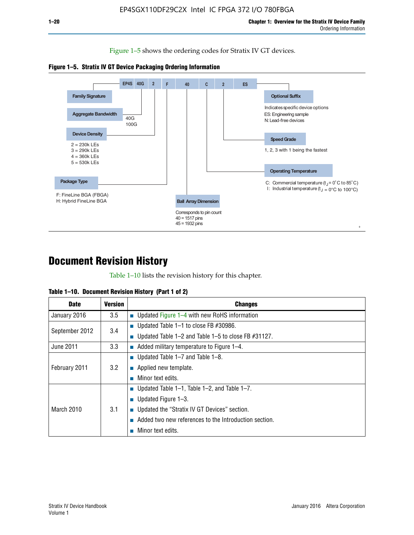Figure 1–5 shows the ordering codes for Stratix IV GT devices.





# **Document Revision History**

Table 1–10 lists the revision history for this chapter.

|  | Table 1–10. Document Revision History (Part 1 of 2) |  |  |
|--|-----------------------------------------------------|--|--|
|--|-----------------------------------------------------|--|--|

| <b>Date</b>       | Version | <b>Changes</b>                                         |
|-------------------|---------|--------------------------------------------------------|
| January 2016      | $3.5\,$ | <b>Updated Figure 1–4 with new RoHS information</b>    |
| September 2012    | 3.4     | ■ Updated Table 1–1 to close FB $#30986$ .             |
|                   |         | Updated Table 1–2 and Table 1–5 to close FB $#31127$ . |
| June 2011         | 3.3     | Added military temperature to Figure 1–4.              |
| February 2011     | 3.2     | ■ Updated Table 1–7 and Table 1–8.                     |
|                   |         | $\blacksquare$ Applied new template.                   |
|                   |         | Minor text edits.                                      |
| <b>March 2010</b> | 3.1     | <b>Updated Table 1–1, Table 1–2, and Table 1–7.</b>    |
|                   |         | ■ Updated Figure $1-3$ .                               |
|                   |         | ■ Updated the "Stratix IV GT Devices" section.         |
|                   |         | Added two new references to the Introduction section.  |
|                   |         | Minor text edits.                                      |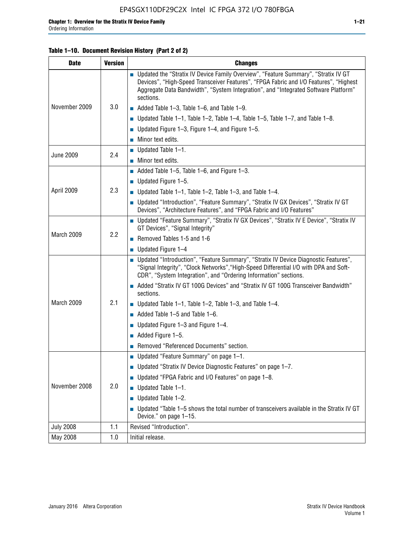## **Table 1–10. Document Revision History (Part 2 of 2)**

| <b>Date</b>      | <b>Version</b> | <b>Changes</b>                                                                                                                                                                                                                                                                    |  |
|------------------|----------------|-----------------------------------------------------------------------------------------------------------------------------------------------------------------------------------------------------------------------------------------------------------------------------------|--|
| November 2009    |                | ■ Updated the "Stratix IV Device Family Overview", "Feature Summary", "Stratix IV GT<br>Devices", "High-Speed Transceiver Features", "FPGA Fabric and I/O Features", "Highest<br>Aggregate Data Bandwidth", "System Integration", and "Integrated Software Platform"<br>sections. |  |
|                  | 3.0            | $\blacksquare$ Added Table 1-3, Table 1-6, and Table 1-9.                                                                                                                                                                                                                         |  |
|                  |                | $\blacksquare$ Updated Table 1-1, Table 1-2, Table 1-4, Table 1-5, Table 1-7, and Table 1-8.                                                                                                                                                                                      |  |
|                  |                | ■ Updated Figure 1–3, Figure 1–4, and Figure 1–5.                                                                                                                                                                                                                                 |  |
|                  |                | $\blacksquare$ Minor text edits.                                                                                                                                                                                                                                                  |  |
|                  | 2.4            | $\blacksquare$ Updated Table 1-1.                                                                                                                                                                                                                                                 |  |
| <b>June 2009</b> |                | Minor text edits.                                                                                                                                                                                                                                                                 |  |
|                  |                | $\blacksquare$ Added Table 1–5, Table 1–6, and Figure 1–3.                                                                                                                                                                                                                        |  |
|                  |                | <b>Updated Figure 1-5.</b>                                                                                                                                                                                                                                                        |  |
| April 2009       | 2.3            | Updated Table $1-1$ , Table $1-2$ , Table $1-3$ , and Table $1-4$ .                                                                                                                                                                                                               |  |
|                  |                | ■ Updated "Introduction", "Feature Summary", "Stratix IV GX Devices", "Stratix IV GT<br>Devices", "Architecture Features", and "FPGA Fabric and I/O Features"                                                                                                                     |  |
|                  | 2.2            | ■ Updated "Feature Summary", "Stratix IV GX Devices", "Stratix IV E Device", "Stratix IV<br>GT Devices", "Signal Integrity"                                                                                                                                                       |  |
| March 2009       |                | Removed Tables 1-5 and 1-6                                                                                                                                                                                                                                                        |  |
|                  |                | $\blacksquare$ Updated Figure 1-4                                                                                                                                                                                                                                                 |  |
|                  |                | ■ Updated "Introduction", "Feature Summary", "Stratix IV Device Diagnostic Features",<br>"Signal Integrity", "Clock Networks", "High-Speed Differential I/O with DPA and Soft-<br>CDR", "System Integration", and "Ordering Information" sections.                                |  |
|                  |                | Added "Stratix IV GT 100G Devices" and "Stratix IV GT 100G Transceiver Bandwidth"<br>sections.                                                                                                                                                                                    |  |
| March 2009       | 2.1            | ■ Updated Table 1–1, Table 1–2, Table 1–3, and Table 1–4.                                                                                                                                                                                                                         |  |
|                  |                | $\blacksquare$ Added Table 1–5 and Table 1–6.                                                                                                                                                                                                                                     |  |
|                  |                | ■ Updated Figure 1–3 and Figure 1–4.                                                                                                                                                                                                                                              |  |
|                  |                | $\blacksquare$ Added Figure 1-5.                                                                                                                                                                                                                                                  |  |
|                  |                | Removed "Referenced Documents" section.                                                                                                                                                                                                                                           |  |
|                  |                | ■ Updated "Feature Summary" on page 1-1.                                                                                                                                                                                                                                          |  |
| November 2008    |                | ■ Updated "Stratix IV Device Diagnostic Features" on page 1-7.                                                                                                                                                                                                                    |  |
|                  |                | Updated "FPGA Fabric and I/O Features" on page 1-8.                                                                                                                                                                                                                               |  |
|                  | 2.0            | $\blacksquare$ Updated Table 1-1.                                                                                                                                                                                                                                                 |  |
|                  |                | Updated Table 1-2.                                                                                                                                                                                                                                                                |  |
|                  |                | Updated "Table 1-5 shows the total number of transceivers available in the Stratix IV GT<br>Device." on page 1-15.                                                                                                                                                                |  |
| <b>July 2008</b> | 1.1            | Revised "Introduction".                                                                                                                                                                                                                                                           |  |
| May 2008         | 1.0            | Initial release.                                                                                                                                                                                                                                                                  |  |